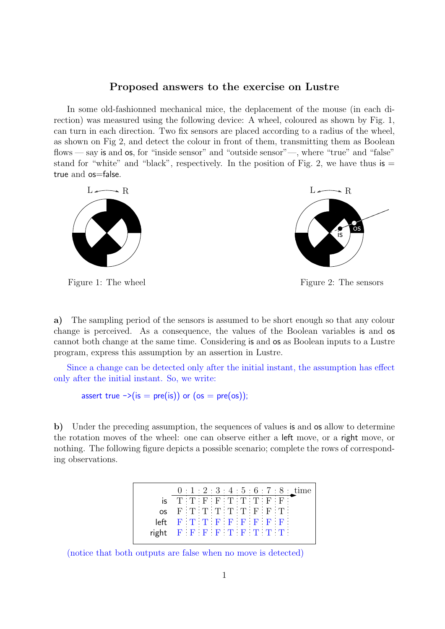## Proposed answers to the exercise on Lustre

In some old-fashionned mechanical mice, the deplacement of the mouse (in each direction) was measured using the following device: A wheel, coloured as shown by Fig. 1, can turn in each direction. Two fix sensors are placed according to a radius of the wheel, as shown on Fig 2, and detect the colour in front of them, transmitting them as Boolean flows — say is and os, for "inside sensor" and "outside sensor"—, where "true" and "false" stand for "white" and "black", respectively. In the position of Fig. 2, we have thus  $\mathsf{is} =$ true and os=false.



Figure 1: The wheel

Figure 2: The sensors

a) The sampling period of the sensors is assumed to be short enough so that any colour change is perceived. As a consequence, the values of the Boolean variables is and os cannot both change at the same time. Considering is and os as Boolean inputs to a Lustre program, express this assumption by an assertion in Lustre.

Since a change can be detected only after the initial instant, the assumption has effect only after the initial instant. So, we write:

assert true  $\rightarrow$  (is = pre(is)) or (os = pre(os));

b) Under the preceding assumption, the sequences of values is and os allow to determine the rotation moves of the wheel: one can observe either a left move, or a right move, or nothing. The following figure depicts a possible scenario; complete the rows of corresponding observations.

|       |                    |  |  |  |                                                                   | $0:1:2:3:4:5:6:7:8$ time |
|-------|--------------------|--|--|--|-------------------------------------------------------------------|--------------------------|
| IS.   | T:T:F:F:T:T:T:F:F; |  |  |  |                                                                   |                          |
| OS.   |                    |  |  |  | $F:T:T:T:T:T:F:F:T$                                               |                          |
| left  |                    |  |  |  | FTTFFFFFF                                                         |                          |
| right |                    |  |  |  | $\begin{bmatrix} F & F & F & F & T & F & T & T & T \end{bmatrix}$ |                          |

(notice that both outputs are false when no move is detected)